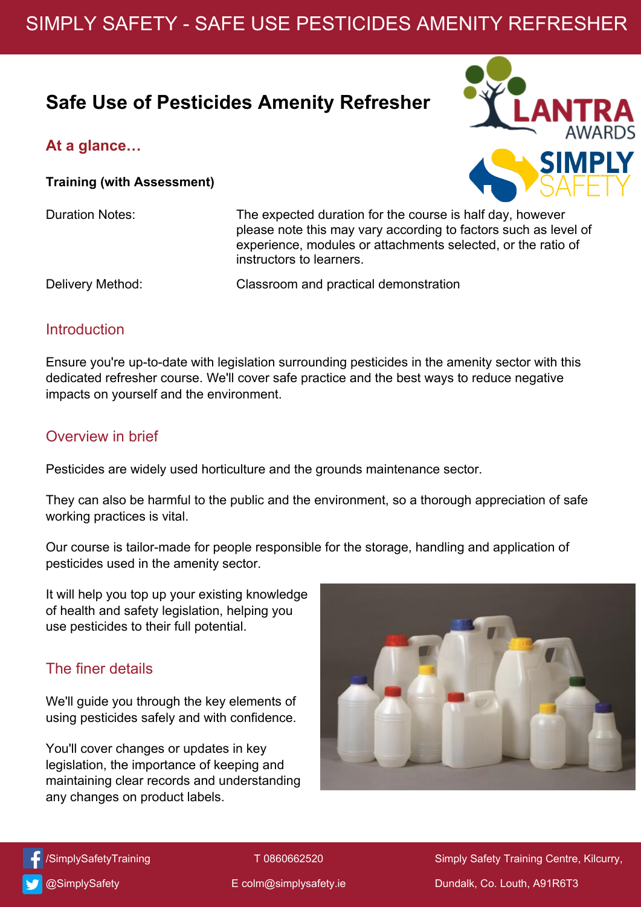# SIMPLY SAFETY - SAFE USE PESTICIDES AMENITY REFRESHER

## **Safe Use of Pesticides Amenity Refresher**

#### **At a glance…**

**Training (with Assessment)**

Duration Notes: The expected duration for the course is half day, however please note this may vary according to factors such as level of experience, modules or attachments selected, or the ratio of instructors to learners.

Delivery Method: Classroom and practical demonstration

#### **Introduction**

Ensure you're up-to-date with legislation surrounding pesticides in the amenity sector with this dedicated refresher course. We'll cover safe practice and the best ways to reduce negative impacts on yourself and the environment.

#### Overview in brief

Pesticides are widely used horticulture and the grounds maintenance sector.

They can also be harmful to the public and the environment, so a thorough appreciation of safe working practices is vital.

Our course is tailor-made for people responsible for the storage, handling and application of pesticides used in the amenity sector.

It will help you top up your existing knowledge of health and safety legislation, helping you use pesticides to their full potential.

### The finer details

We'll guide you through the key elements of using pesticides safely and with confidence.

You'll cover changes or updates in key legislation, the importance of keeping and maintaining clear records and understanding any changes on product labels.







@[SimplySafety](http://www.twitter.com/lantrauk)

T 0860662520

Simply Safety Training Centre, Kilcurry, Dundalk, Co. Louth, A91R6T3

E colm@[simplysafety.ie](mailto:sales@lantra.co.uk)